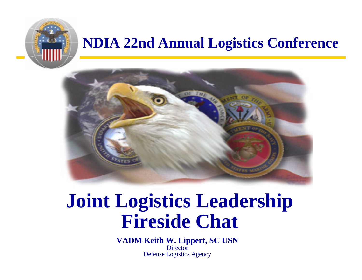

### **NDIA 22nd Annual Logistics Conference**



# **Joint Logistics Leadership Fireside Chat**

**VADM Keith W. Lippert, SC USN Director** Defense Logistics Agency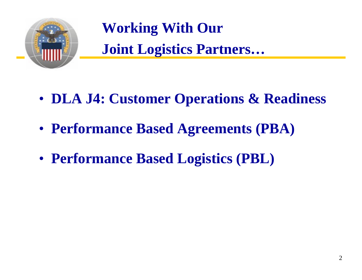

**Working With Our Joint Logistics Partners…** 

- **DLA J4: Customer Operations & Readiness**
- **Performance Based Agreements (PBA)**
- **Performance Based Logistics (PBL)**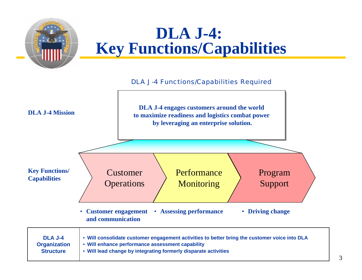

### **DLA J-4: Key Functions/Capabilities**

#### DLA J-4 Functions/Capabilities Required

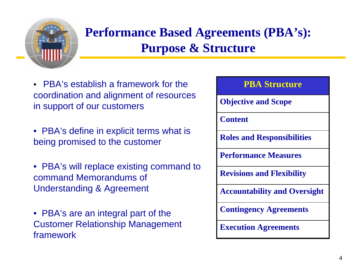

### **Performance Based Agreements (PBA's): Purpose & Structure**

- PBA's establish a framework for the **PBA Structure** coordination and alignment of resources in support of our customers
- PBA's define in explicit terms what is being promised to the customer
- PBA's will replace existing command to command Memorandums of Understanding & Agreement
- PBA's are an integral part of the Customer Relationship Management framework

# **Execution Agreements Contingency Agreements Accountability and Oversight Revisions and Flexibility Performance MeasuresRoles and Responsibilities ContentObjective and Scope**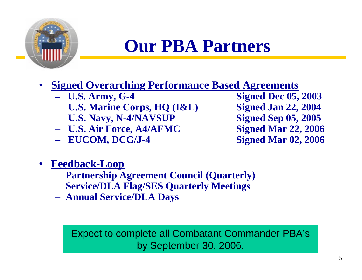

## **Our PBA Partners**

#### •**Signed Overarching Performance Based Agreements**

- $-$  U.S. Army, G-4
- **U.S. Marine Corps, HQ (I&L) Signed Jan 22, 2004**
- **U.S. Navy, N-4/NAVSUP Signed Sep 05, 2005**
- **U.S. Air Force, A4/AFMC Signed Mar 22, 2006**
- **EUCOM, DCG/J-4 Signed Mar 02, 2006**

**Signed Dec 05, 2003** 

- • **Feedback-Loop**
	- **Partnership Agreement Council (Quarterly)**
	- **Service/DLA Flag/SES Quarterly Meetings**
	- **Annual Service/DLA Days**

Expect to complete all Combatant Commander PBA's by September 30, 2006.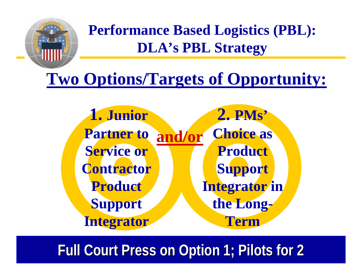

**Performance Based Logistics (PBL): DLA's PBL Strategy**

## **Two Options/Targets of Opportunity:**

**and/or 1. Junior Partner to Service or Contractor Product Support Integrator 2. PMs' Choice as Product Support Integrator in the Long-Term**

**Full Court Press on Option 1; Pilots for 2**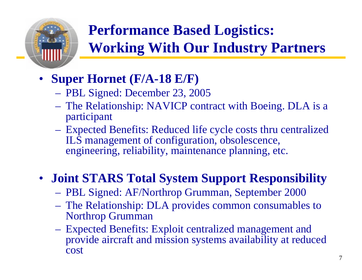

## **Performance Based Logistics: Working With Our Industry Partners**

- **Super Hornet (F/A-18 E/F)**
	- PBL Signed: December 23, 2005
	- The Relationship: NAVICP contract with Boeing. DLA is a participant
	- Expected Benefits: Reduced life cycle costs thru centralized ILS management of configuration, obsolescence, engineering, reliability, maintenance planning, etc.

### • **Joint STARS Total System Support Responsibility**

- PBL Signed: AF/Northrop Grumman, September 2000
- The Relationship: DLA provides common consumables to Northrop Grumman
- Expected Benefits: Exploit centralized management and provide aircraft and mission systems availability at reduced cost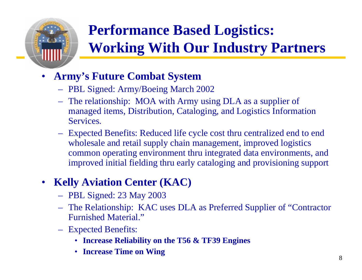

## **Performance Based Logistics: Working With Our Industry Partners**

#### •**Army's Future Combat System**

- PBL Signed: Army/Boeing March 2002
- The relationship: MOA with Army using DLA as a supplier of managed items, Distribution, Cataloging, and Logistics Information Services.
- Expected Benefits: Reduced life cycle cost thru centralized end to end wholesale and retail supply chain management, improved logistics common operating environment thru integrated data environments, and improved initial fielding thru early cataloging and provisioning suppor<sup>t</sup>

#### $\bullet$ **Kelly Aviation Center (KAC)**

- PBL Signed: 23 May 2003
- The Relationship: KAC uses DLA as Preferred Supplier of "Contractor Furnished Material."
- Expected Benefits:
	- **Increase Reliability on the T56 & TF39 Engines**
	- **Increase Time on Wing**